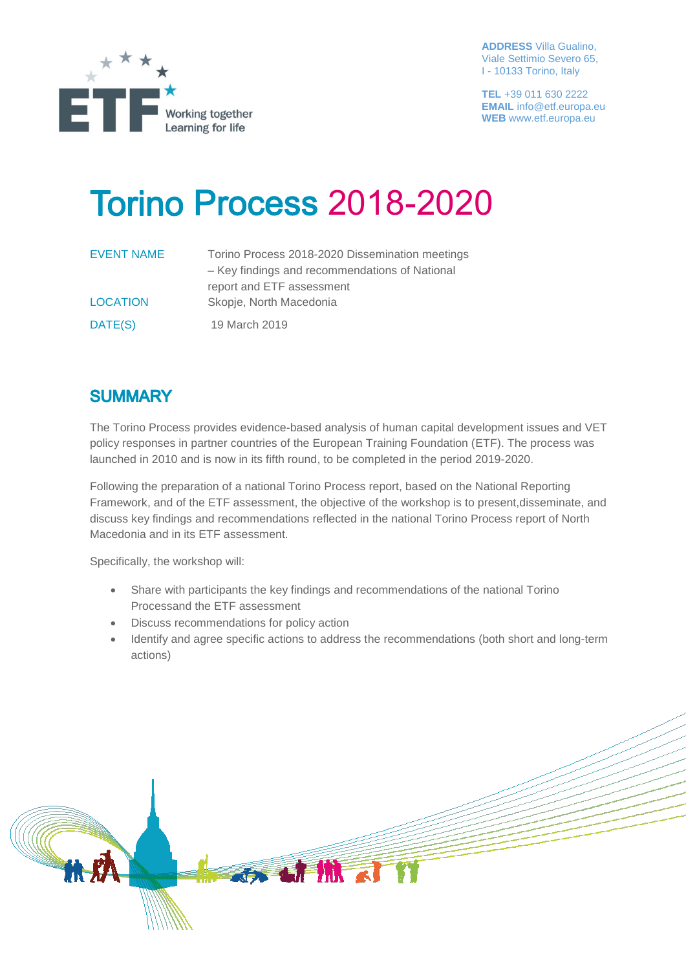

**ADDRESS** Villa Gualino, Viale Settimio Severo 65, I - 10133 Torino, Italy

**TEL** +39 011 630 2222 **EMAIL** info@etf.europa.eu **WEB** www.etf.europa.eu

## **Torino Process 2018-2020**

| EVENT NAME      | Torino Process 2018-2020 Dissemination meetings |
|-----------------|-------------------------------------------------|
|                 | - Key findings and recommendations of National  |
|                 | report and ETF assessment                       |
| <b>LOCATION</b> | Skopje, North Macedonia                         |
| DATE(S)         | 19 March 2019                                   |

## **SUMMARY**

The Torino Process provides evidence-based analysis of human capital development issues and VET policy responses in partner countries of the European Training Foundation (ETF). The process was launched in 2010 and is now in its fifth round, to be completed in the period 2019-2020.

Following the preparation of a national Torino Process report, based on the National Reporting Framework, and of the ETF assessment, the objective of the workshop is to present,disseminate, and discuss key findings and recommendations reflected in the national Torino Process report of North Macedonia and in its ETF assessment.

Specifically, the workshop will:

- Share with participants the key findings and recommendations of the national Torino Processand the ETF assessment
- Discuss recommendations for policy action
- Identify and agree specific actions to address the recommendations (both short and long-term actions)